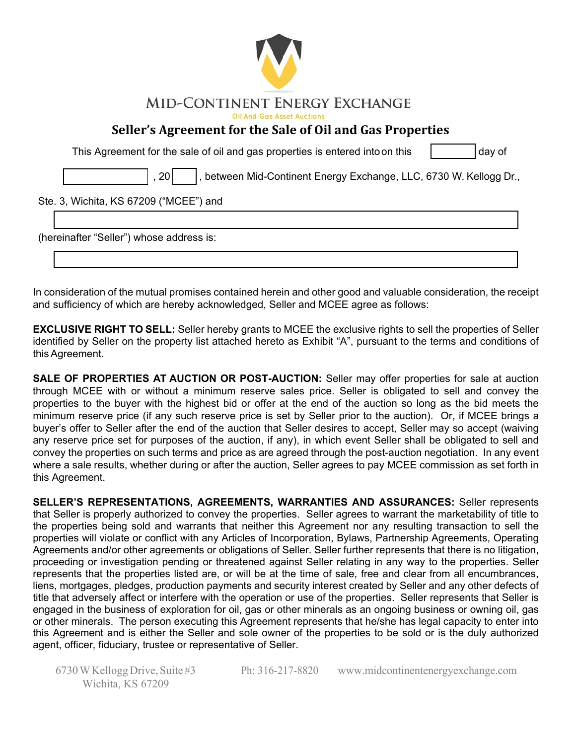

## **Seller's Agreement for the Sale of Oil and Gas Properties**

This Agreement for the sale of oil and gas properties is entered into on this  $\vert$  day of

, 20 | |, between Mid-Continent Energy Exchange, LLC, 6730 W. Kellogg Dr.,

## Ste. 3, Wichita, KS 67209 ("MCEE") and

(hereinafter "Seller") whose address is:

In consideration of the mutual promises contained herein and other good and valuable consideration, the receipt and sufficiency of which are hereby acknowledged, Seller and MCEE agree as follows:

**EXCLUSIVE RIGHT TO SELL:** Seller hereby grants to MCEE the exclusive rights to sell the properties of Seller identified by Seller on the property list attached hereto as Exhibit "A", pursuant to the terms and conditions of this Agreement.

**SALE OF PROPERTIES AT AUCTION OR POST-AUCTION:** Seller may offer properties for sale at auction through MCEE with or without a minimum reserve sales price. Seller is obligated to sell and convey the properties to the buyer with the highest bid or offer at the end of the auction so long as the bid meets the minimum reserve price (if any such reserve price is set by Seller prior to the auction). Or, if MCEE brings a buyer's offer to Seller after the end of the auction that Seller desires to accept, Seller may so accept (waiving any reserve price set for purposes of the auction, if any), in which event Seller shall be obligated to sell and convey the properties on such terms and price as are agreed through the post-auction negotiation. In any event where a sale results, whether during or after the auction, Seller agrees to pay MCEE commission as set forth in this Agreement.

**SELLER'S REPRESENTATIONS, AGREEMENTS, WARRANTIES AND ASSURANCES:** Seller represents that Seller is properly authorized to convey the properties. Seller agrees to warrant the marketability of title to the properties being sold and warrants that neither this Agreement nor any resulting transaction to sell the properties will violate or conflict with any Articles of Incorporation, Bylaws, Partnership Agreements, Operating Agreements and/or other agreements or obligations of Seller. Seller further represents that there is no litigation, proceeding or investigation pending or threatened against Seller relating in any way to the properties. Seller represents that the properties listed are, or will be at the time of sale, free and clear from all encumbrances, liens, mortgages, pledges, production payments and security interest created by Seller and any other defects of title that adversely affect or interfere with the operation or use of the properties. Seller represents that Seller is engaged in the business of exploration for oil, gas or other minerals as an ongoing business or owning oil, gas or other minerals. The person executing this Agreement represents that he/she has legal capacity to enter into this Agreement and is either the Seller and sole owner of the properties to be sold or is the duly authorized agent, officer, fiduciary, trustee or representative of Seller.

6730 W Kellogg Drive, Suite #3 Wichita, KS 67209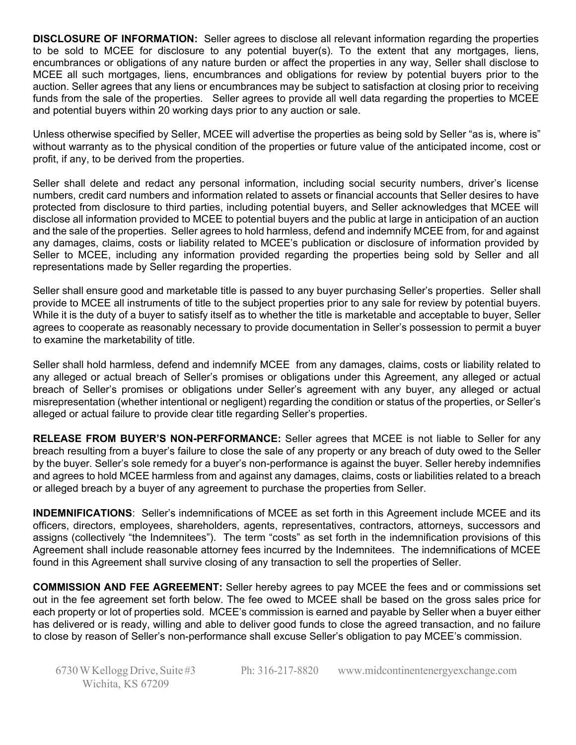**DISCLOSURE OF INFORMATION:** Seller agrees to disclose all relevant information regarding the properties to be sold to MCEE for disclosure to any potential buyer(s). To the extent that any mortgages, liens, encumbrances or obligations of any nature burden or affect the properties in any way, Seller shall disclose to MCEE all such mortgages, liens, encumbrances and obligations for review by potential buyers prior to the auction. Seller agrees that any liens or encumbrances may be subject to satisfaction at closing prior to receiving funds from the sale of the properties. Seller agrees to provide all well data regarding the properties to MCEE and potential buyers within 20 working days prior to any auction or sale.

Unless otherwise specified by Seller, MCEE will advertise the properties as being sold by Seller "as is, where is" without warranty as to the physical condition of the properties or future value of the anticipated income, cost or profit, if any, to be derived from the properties.

Seller shall delete and redact any personal information, including social security numbers, driver's license numbers, credit card numbers and information related to assets or financial accounts that Seller desires to have protected from disclosure to third parties, including potential buyers, and Seller acknowledges that MCEE will disclose all information provided to MCEE to potential buyers and the public at large in anticipation of an auction and the sale of the properties. Seller agrees to hold harmless, defend and indemnify MCEE from, for and against any damages, claims, costs or liability related to MCEE's publication or disclosure of information provided by Seller to MCEE, including any information provided regarding the properties being sold by Seller and all representations made by Seller regarding the properties.

Seller shall ensure good and marketable title is passed to any buyer purchasing Seller's properties. Seller shall provide to MCEE all instruments of title to the subject properties prior to any sale for review by potential buyers. While it is the duty of a buyer to satisfy itself as to whether the title is marketable and acceptable to buyer, Seller agrees to cooperate as reasonably necessary to provide documentation in Seller's possession to permit a buyer to examine the marketability of title.

Seller shall hold harmless, defend and indemnify MCEE from any damages, claims, costs or liability related to any alleged or actual breach of Seller's promises or obligations under this Agreement, any alleged or actual breach of Seller's promises or obligations under Seller's agreement with any buyer, any alleged or actual misrepresentation (whether intentional or negligent) regarding the condition or status of the properties, or Seller's alleged or actual failure to provide clear title regarding Seller's properties.

**RELEASE FROM BUYER'S NON-PERFORMANCE:** Seller agrees that MCEE is not liable to Seller for any breach resulting from a buyer's failure to close the sale of any property or any breach of duty owed to the Seller by the buyer. Seller's sole remedy for a buyer's non-performance is against the buyer. Seller hereby indemnifies and agrees to hold MCEE harmless from and against any damages, claims, costs or liabilities related to a breach or alleged breach by a buyer of any agreement to purchase the properties from Seller.

**INDEMNIFICATIONS**: Seller's indemnifications of MCEE as set forth in this Agreement include MCEE and its officers, directors, employees, shareholders, agents, representatives, contractors, attorneys, successors and assigns (collectively "the Indemnitees"). The term "costs" as set forth in the indemnification provisions of this Agreement shall include reasonable attorney fees incurred by the Indemnitees. The indemnifications of MCEE found in this Agreement shall survive closing of any transaction to sell the properties of Seller.

**COMMISSION AND FEE AGREEMENT:** Seller hereby agrees to pay MCEE the fees and or commissions set out in the fee agreement set forth below. The fee owed to MCEE shall be based on the gross sales price for each property or lot of properties sold. MCEE's commission is earned and payable by Seller when a buyer either has delivered or is ready, willing and able to deliver good funds to close the agreed transaction, and no failure to close by reason of Seller's non-performance shall excuse Seller's obligation to pay MCEE's commission.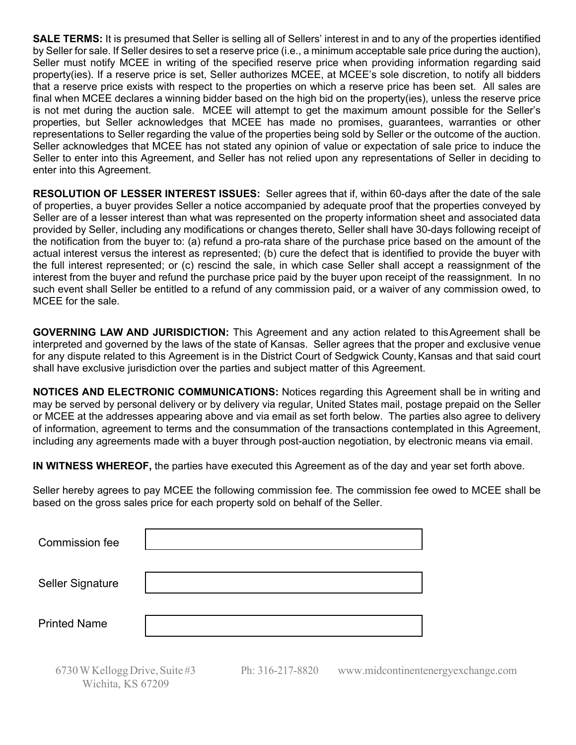**SALE TERMS:** It is presumed that Seller is selling all of Sellers' interest in and to any of the properties identified by Seller for sale. If Seller desires to set a reserve price (i.e., a minimum acceptable sale price during the auction), Seller must notify MCEE in writing of the specified reserve price when providing information regarding said property(ies). If a reserve price is set, Seller authorizes MCEE, at MCEE's sole discretion, to notify all bidders that a reserve price exists with respect to the properties on which a reserve price has been set. All sales are final when MCEE declares a winning bidder based on the high bid on the property(ies), unless the reserve price is not met during the auction sale. MCEE will attempt to get the maximum amount possible for the Seller's properties, but Seller acknowledges that MCEE has made no promises, guarantees, warranties or other representations to Seller regarding the value of the properties being sold by Seller or the outcome of the auction. Seller acknowledges that MCEE has not stated any opinion of value or expectation of sale price to induce the Seller to enter into this Agreement, and Seller has not relied upon any representations of Seller in deciding to enter into this Agreement.

**RESOLUTION OF LESSER INTEREST ISSUES:** Seller agrees that if, within 60-days after the date of the sale of properties, a buyer provides Seller a notice accompanied by adequate proof that the properties conveyed by Seller are of a lesser interest than what was represented on the property information sheet and associated data provided by Seller, including any modifications or changes thereto, Seller shall have 30-days following receipt of the notification from the buyer to: (a) refund a pro-rata share of the purchase price based on the amount of the actual interest versus the interest as represented; (b) cure the defect that is identified to provide the buyer with the full interest represented; or (c) rescind the sale, in which case Seller shall accept a reassignment of the interest from the buyer and refund the purchase price paid by the buyer upon receipt of the reassignment. In no such event shall Seller be entitled to a refund of any commission paid, or a waiver of any commission owed, to MCEE for the sale.

**GOVERNING LAW AND JURISDICTION:** This Agreement and any action related to this Agreement shall be interpreted and governed by the laws of the state of Kansas. Seller agrees that the proper and exclusive venue for any dispute related to this Agreement is in the District Court of Sedgwick County, Kansas and that said court shall have exclusive jurisdiction over the parties and subject matter of this Agreement.

**NOTICES AND ELECTRONIC COMMUNICATIONS:** Notices regarding this Agreement shall be in writing and may be served by personal delivery or by delivery via regular, United States mail, postage prepaid on the Seller or MCEE at the addresses appearing above and via email as set forth below. The parties also agree to delivery of information, agreement to terms and the consummation of the transactions contemplated in this Agreement, including any agreements made with a buyer through post-auction negotiation, by electronic means via email.

**IN WITNESS WHEREOF,** the parties have executed this Agreement as of the day and year set forth above.

Seller hereby agrees to pay MCEE the following commission fee. The commission fee owed to MCEE shall be based on the gross sales price for each property sold on behalf of the Seller.

| <b>Commission fee</b>   |  |
|-------------------------|--|
| <b>Seller Signature</b> |  |
| <b>Printed Name</b>     |  |

6730 W Kellogg Drive, Suite #3 Wichita, KS 67209